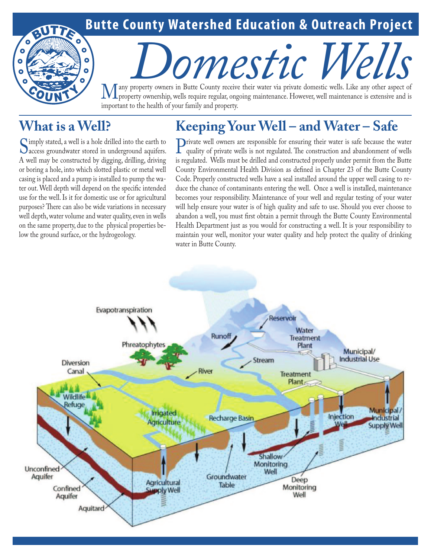## **Butte County Watershed Education & Outreach Project**

# **Domestic County receive their water via private domestic wells.** Like any other aspect of

Many property owners in Butte County receive their water via private domestic wells. Like any other aspect of property ownership, wells require regular, ongoing maintenance. However, well maintenance is extensive and is im important to the health of your family and property.

## **What is a Well?**

Ō

Ō

 $\bullet$ 

 $\ddot{\mathbf{o}}$ 

 $\bullet$ 

# **Keeping Your Well – and Water – Safe**

Simply stated, a well is a hole drilled into the earth to<br>access groundwater stored in underground aquifers.<br>A well may be constructed by disciper drilling driving A well may be constructed by digging, drilling, driving or boring a hole, into which slotted plastic or metal well casing is placed and a pump is installed to pump the water out. Well depth will depend on the specific intended use for the well. Is it for domestic use or for agricultural purposes? There can also be wide variations in necessary well depth, water volume and water quality, even in wells on the same property, due to the physical properties below the ground surface, or the hydrogeology.

**Private well owners are responsible for ensuring their water is safe because the water quality of private wells is not regulated. The construction and abandonment of wells is reculated. Wells must be drilled and construct** is regulated. Wells must be drilled and constructed properly under permit from the Butte County Environmental Health Division as defined in Chapter 23 of the Butte County Code. Properly constructed wells have a seal installed around the upper well casing to reduce the chance of contaminants entering the well. Once a well is installed, maintenance becomes your responsibility. Maintenance of your well and regular testing of your water will help ensure your water is of high quality and safe to use. Should you ever choose to abandon a well, you must first obtain a permit through the Butte County Environmental Health Department just as you would for constructing a well. It is your responsibility to maintain your well, monitor your water quality and help protect the quality of drinking water in Butte County.